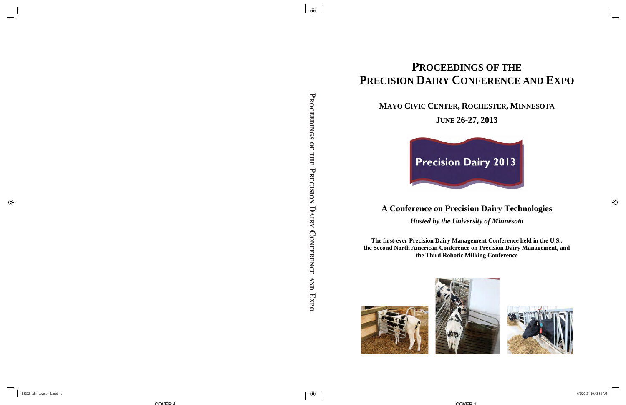# **PRECISION DAIRY CONFERENCE AND EXPO**

## **MAYO CIVIC CENTER , ROCHESTER , MINNESOTA**

## **JUNE 26-27, 2013**



## **A Conference on Precision Dairy Technologies**

*Hosted by the University of Minnesota* 

**The first-ever Precision Dairy Management Conference held in the U.S., the Second North American Conference on Precision Dairy Management, and the Third Robotic Milking Conference** 





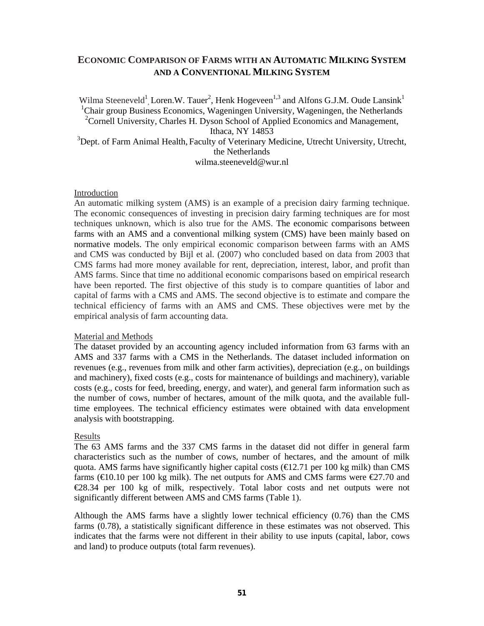### **ECONOMIC COMPARISON OF FARMS WITH AN AUTOMATIC MILKING SYSTEM AND A CONVENTIONAL MILKING SYSTEM**

Wilma Steeneveld<sup>1</sup>, Loren.W. Tauer<sup>2</sup>, Henk Hogeveen<sup>1,3</sup> and Alfons G.J.M. Oude Lansink<sup>1</sup> <sup>1</sup>Chair group Business Economics, Wageningen University, Wageningen, the Netherlands <sup>2</sup> Cornell University, Charles H. Dyson School of Applied Economics and Management, Ithaca, NY 14853 <sup>3</sup>Dept. of Farm Animal Health, Faculty of Veterinary Medicine, Utrecht University, Utrecht, the Netherlands wilma steeneveld@wur nl

#### Introduction

An automatic milking system (AMS) is an example of a precision dairy farming technique. The economic consequences of investing in precision dairy farming techniques are for most techniques unknown, which is also true for the AMS. The economic comparisons between farms with an AMS and a conventional milking system (CMS) have been mainly based on normative models. The only empirical economic comparison between farms with an AMS and CMS was conducted by Bijl et al. (2007) who concluded based on data from 2003 that CMS farms had more money available for rent, depreciation, interest, labor, and profit than AMS farms. Since that time no additional economic comparisons based on empirical research have been reported. The first objective of this study is to compare quantities of labor and capital of farms with a CMS and AMS. The second objective is to estimate and compare the technical efficiency of farms with an AMS and CMS. These objectives were met by the empirical analysis of farm accounting data.

#### Material and Methods

The dataset provided by an accounting agency included information from 63 farms with an AMS and 337 farms with a CMS in the Netherlands. The dataset included information on revenues (e.g., revenues from milk and other farm activities), depreciation (e.g., on buildings and machinery), fixed costs (e.g., costs for maintenance of buildings and machinery), variable costs (e.g., costs for feed, breeding, energy, and water), and general farm information such as the number of cows, number of hectares, amount of the milk quota, and the available fulltime employees. The technical efficiency estimates were obtained with data envelopment analysis with bootstrapping.

#### Results

The 63 AMS farms and the 337 CMS farms in the dataset did not differ in general farm characteristics such as the number of cows, number of hectares, and the amount of milk quota. AMS farms have significantly higher capital costs ( $\text{E}2.71$  per 100 kg milk) than CMS farms ( $\in$  0.10 per 100 kg milk). The net outputs for AMS and CMS farms were  $\in$  27.70 and €28.34 per 100 kg of milk, respectively. Total labor costs and net outputs were not significantly different between AMS and CMS farms (Table 1).

Although the AMS farms have a slightly lower technical efficiency (0.76) than the CMS farms (0.78), a statistically significant difference in these estimates was not observed. This indicates that the farms were not different in their ability to use inputs (capital, labor, cows and land) to produce outputs (total farm revenues).